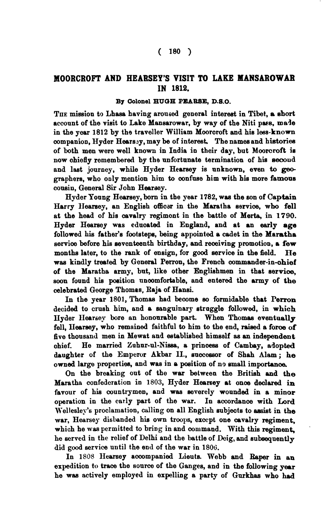# **MOORCROFT** AND HEARSEY'S VISIT TO **LAKE** BIANSAROWAR IN 1812.

### By Colonel **HUGH PEARSE**, D.S.O.

THE mission to Lhasa having aroused general interest in Tibet, a short account of the visit to Lake Mansarowar, by way of the Niti pass, made in the year 1812 by the traveller William Moorcroft and his less-known companion, Hyder Hearsey, may be of interest. The names and histories of both men were well known in India in their day, but **Moorcroft** is now chiefly remembered by the unfortunate termination of his second and laat journey, while Hyder Hearsey is unknown, even to **geo**graphem, who only mention him to confuse him with his more famoua cousin, General Sir John Hearaey.

Hyder Young Hearsey, born in the year 1782, was the son of Captain Harry IIearsey, an English officar in the Maratha service, **wbo** fell at the head of hia cavalry regimont in the battle of Merta, in 1790. Hyder **Hearaey was** eduoated in England, and at an early **age**  followed his father's footatepa, being appointed a cadet in the Maratha servioe before his seventeenth birthday, **end** receiving promotion, a few months later, to the rank of ensign, for good service in the field. He was kindly treated by General Perron, the French commander-in-chief of the Maratha army, but, like other Englishmen in that servioe, soon found his position uncomfortable, and entered the army of the celebrated George Thomas, Raja of Hami.

In the year 1801, Thomas had become **eo** formidable that Perron decided to crush him, and **a** sanguinary struggle followed, in which Hyder Hearsey bore an honourable part. When Thomas eventually fell, Hearsey, who remained faithful to him to the end, raised a force of five thousand men in Mewat and established himself **as an** independent ohief. He married Zuhur-d-Nisaa, a princess of Cambay, adopted daughter of the Emperor Akbar II., successor of Shah Alam; he owned large properties, and was in a position of no small importance.

On the breaking out of the war between the British **and the**  Maratha confederation in 1803, Hyder Hearsey at once deolared **in**  favour of his countrymen, and was severely wounded in a minor operation in the early part of the war. In accordance with **Lord**  \Vellesle>-'s proclamation, calling on all English aubjeots to eesiet in **the**  war, Hearsey disbanded his own troops, except one cavalry regiment, which he was permitted to bring in and command. With this regiment, he served in the relief of Delhi and the battle of Deig, and subsequently did good service until the end of the war in 1806.

In 1808 Hearsey accompanied Lieuts. Webb and Raper in an expedition to trace the source of the Ganges, and in the following year he was actively employed in expelling a party of **Gurbhaa** who **h.d**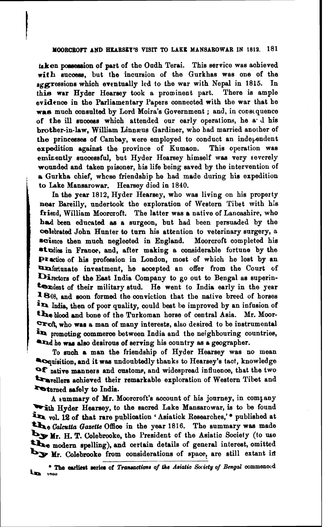## **YOORCBOFT AND HEARSYDS VISIT TO LAKE MANSABOWAR IN 1812.** 181

taken possession of part of the Oudh Terai. This service was achieved with success, but the incursion of the Gurkhas was one of the aggressions which eventually led to the war with Nepal in 1815. In this war Hjder Hearsey took a prominent part. There **ie** ample evidence in the Parliamentary Papers oonnected with the war that he was much consulted by Lord Moira's Government ; and, in consequence OF the ill anaoees whioh attended our early operatiom, he a. **J** his brother-in-law, William Linnæus Gardiner, who had married another of **the** princessea of Cambay, were employed to conduct an independent expedition agaimt the province of Kumaon. This operation was eminently successful, but Hyder Hearsey himself was very teverely wounded and taken plisoner, his life being saved by the intervention of a Gurkha chief, whose friendship he had made during his expedition to Lake Mansarowar. Hearsey died in 1840.

In the year 1812, Hyder Hearsey, who was living on his property near Bareilly, undertook the exploration of Western Tibet with his friend, William Moorcroft. The latter was a native of Lancashire, who **had** been educated **aa** a surgeon, but had been persuaded by the oelebrated John Hunter to turn his attention to veterinary surgery, a science then much negleoted in England. Moorcroft completed his .todies in **Fnmoe,** and, after making a considerable fortune by the Practice of his profession in London, most of which he lost by an **unitary** form the Court of Directors of the East India Company to go out to Bengal as superintondent of their military stud. He went to India early in the year **1808,** and eoon formed the conviction that the native breed of horses In India, then of poor quality, could best be improved by an infusion of the blood and bone of the Turkoman horse of central Asia. Mr. Moor-**-oft,** who was a man of many intereste, also desired to be instrumental in promoting commerce between India and the neighbouring countries, -he **was aleo** desiroue of serving his country **ae** a geographer.

To such a man the friendship of Hyder Hearsey was no mean acquisition, and it was undoubtedly thanks to Hearsey's tact, knowledge **Qf native** manners and auatomr, and widespread influence, that the two travellers achieved their remarkable exploration of Western Tibet and Foturned safely to India.

A summary of Mr. Moorcroft's account of his journey, in company with Hyder Hearsey, to the sacred Lake Mansarowar, is to be found<br> **in** vol. 12 of that rare publication 'Asiatick Researches,' \* published at the Calcutta Gazette Office in the year 1816. The summary was made by Mr. H. T. Colebrooke, the President of the Asiatic Society (to use<br>the modern spelling), and certain details of general interest, omitted  $\rightarrow$  Mr. Colebrooke from considerations of space, are still extant in

 $^*$  The earliest series of Transactions of the Asiatic Society of Bengal commenced **ha** ,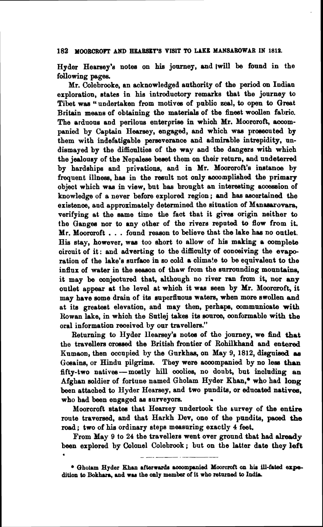## 182 MOOBCROFT AND **HEARSEY'S VISIT TO LAKE MANSAROWAR IN 1812.**

Hyder Hearsey's notes on his journey, and will be found in the following pages.

Mr. Colebrooke, an acknowledged authority of the period on Indian exploration, states in **hia** introductory remarke that the journey to Tibet was "undertaken from motives of public zeal, to open to Great Britain means of obtaining the materiala of the fineet woollen fabrio. The arduous and perilous enterprise in which Mr. Moororoft, accompanied by Captain Hearsey, engaged, and which was prosecuted by them with indefatigable perseverance and admirable intrepidity, undismayed by the difficulties of the way and the dangers with which the jealousy of the Nepalese beet them on their return, and undeterred by hardships and privations, and in Mr. Moororoft's instance by frequent illness, baa in the reanlt not only aooomplished the primary object which was in view, but has brought an interesting accession of knowledge of a never before explored region; and has ascertained the existence, and approximately determined the situation of Manasarovara. verifying at the same time the fact that it gives origin neither to the Qangee nor to any other of the rivers **repoted to** flow from it. Mr. Moorcroft . . . found reason to believe that the lake has no outlet. **Hia** atay, however, was too short to allow of hie making a oomplete oirouit of it: and adverting to the difficulty of oonoeiving the evaporation of the lake's surface in so cold a climate to be equivalent to the influx of water in the **season** of thaw from the surrounding mountains, it may be conjectured that, although no river ran from it, nor any outlet appear at the level at which it waa men by Mr. **Moomroft,** it may have some drain of its superfluous waters, when more swollen and at its greatest elevation, and may then, perhaps, communicate with Rowan lake, in which the Sutlej takes its source, conformable with the oral information received by our travellers."

Returning to Hyder Hearsey'e notee of the journey, we find that the travellers croseed the Britieh frontier of **Rohilkhand** and entered Kumaon, then occupied by the Gurkhas, on May 9, 1812, disguised as Gosains, or Hindu pilgrims. They were accompanied by no less than fifty-two natives-moatly hill aoolies, no donbt, but inaluding **an**  Afghan soldier of fortune named Gholam Hyder Khan,\* who had long been attached to Hyder Hearsey, and two pundits, or educated natives, Afghan soldier of fortune named Gholam Hyder Khan,\* who had long been attached to Hyder Hearsey, and two pundits, or educated natives, who had been engaged as surveyors.<br>Moorcroft states that Hearsey undertook the survey o

route traversed, and that Harkh Dev, one of the pundits, paced the road ; two of **hie** ordinary steps measuring exactly 4 feet.

From May 9 to 24 the travellere went over ground that had **already**  been explored by Colonel Colebrook; but on tbe latter date they left

<sup>\*</sup> Ghoiam Hyder Khan afterwards accompanied Moorcroft on his ill-fated expedition to Bokhara, and was the only member of it who returned to India.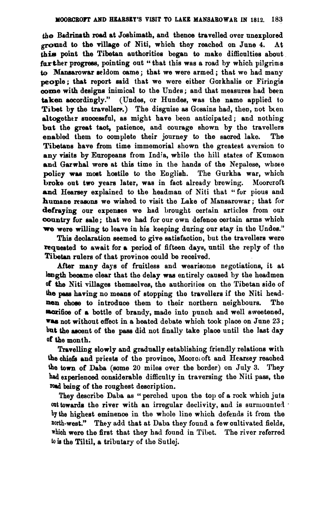the Badrinath road at Joshimath, and thence travelled over unexplored gronnd to the village of Niti, which they reached on June 4. **At**  this point the Tibetan authoritiee began **to** make difficnltiee about further progress, pointing out "that this was a road by which pilgrims **to** Mansarowar eeldom oame ; that we were armed ; that we had many people; that report said that we were either Gorkhalis or Firingie come with designs inimical to the Undes; and that measures had been **&ken** aocordingly!' (Undee, or Hundee, was the name applied to Tibet by the travellers.) The disguise as Gosains had, then, not been altogether successful, as might have been anticipated; and nothing but the great tact, patience, and courage shown by the travellers enabled them to oomylete their journey to the saored lake. The Tibetans have from time immemorial shown the greatest aversion to any visits by Europeans from India, while the hill states of Kumaon and Garwhal were at this time in the hands of the Nepalese, whose policy was most hostile to the English. The Gurkha war, which broke out two years later, was in fact already brewing. Moorcroft and Hearsey explained to the headman of Niti that "for pious and humane **reaeone** we wiehed to visit the Lake of Nansarowar ; that for defraying our expenses we had brought certain articles from our **country** for eale; that we had for our own defence oertain arms which we were willing to leave in his keeping during our stay in the Undes."

**This** deolaration eeemed to give eatiefaction, but the travellers were requested to await for a period of fifteen days, until the reply of the **Tibetan** rulers of that province could be received.

After many days of fruitless and wearisome negotiations, it at length became clear that the delay was entirely caused by the headmen of the Niti villages themselves, the authorities on the Tibetan side of **the pass of stopping the existence of the Niti villages themselves, the authorities on the Tibetan side of the pass having no means of stopping the travellers if the Niti head-<br>men chose to introduce them to their norther sacrifice** of a bottle of brandy, made into punch and well sweetened, **Was** not without effect in a heated debate which took place on June 23; **ht** the aacent of the **paas** did not finally take place until the last day **of** the month.

Travelling slowly and gradually eetabliehing friendly relatione with the chiefs and priests of the province, Moorcroft and Hearsey reached the **town** of Daba (some 20 miles over the border) on July 3. 'J'hey had experienced considerable difficulty in traversing the Niti pass, the **md** being of the roughest description.

They describe Daba as "perched upon the top of a rock which juts out towards the river with an irregular declivity, and is surmounted . **by** the higheet eminence in the whole line which defends it from the north-west." They add that at Daba they found a few cultivated fields, **whioh** were the firet that they had found in Tibet. The river referred **to in** the Tiltil, a tributary of the Sutlej.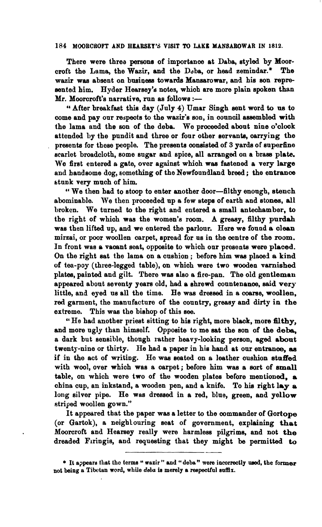#### **184 MOOBCBOFT AND BEABSEY'S VISIT TO LAKE MANSABOWAR IN 1812.**

There were three persons of importance at Daba, styled by Moorcroft the Lama, the Wazir, and the Doba, or head zemindar.\* The wazir was absent on business towards Mansarowar, and his son repreeented him. Hyder Heareey'e notes, whiob are more plain spoken **than**  Mr. Moorcroft's narrative, run as follows :-

After breakfaat thie day (July 4) Umar Singh sent word to **ns** to come and pay our respects to the wazir's son, in council assembled with the lama and the son of the deba. We proceeded about nine o'olook attended by the pundit and three or four other eervants, oarrying the presents for these people. The presents consisted of 3 yards of superfine scarlet broadcloth, some sugar and spice, all arranged on a brass plate. We first entered a gate, over against whioh waa fastened a very large and handsome dog, something of the Newfoundland breed; the entrance stunk very much of him.

"We then had to stoop to enter another door-filthy enough, stench abominable. We then proceeded up a few stepe of earth and atones, all broken. We turned to the right and entered a small antechamber, to the right of which was the women's room. A greasy, filthy purdah was then lifted up, and we entered the parlour. Here we found a clean mireai, or poor woollen carpet, epread for us in the oentre of the room. In front was a vacant seat, opposite to which our presents were placed. On the right eat the lama on a cushion ; before him waa plaoed a kind of tea-poy (three-legged table), on which were two wooden **varnished**  plates, painted and gilt. There was also a fire-pan. The old gentleman appeared about seventy years old, had a shrewd countenance, said very little, and eyed ne all the time. He was dreseed in a **coeree,** woollen, red garment, the manufacture of the country, greasy and dirty in the extreme. This was the bishop of this see.

" He had another priest sitting to hie right, more black, more **Glthy,**  and more ugly than himself. Opposite to me sat the son of the deba, a dark but sensible, though rather heavy-looking person, aged about twenty-nine or thirty. He had a paper in his hand at our entrance, as if in the act of writing. He was eeated on a leather cushion etnffed with wool, over which was a carpet; before him was a sort of small table, on which were two of the wooden plates before mentioned, a ohina cup, an inkstand, a wooden pen, and a knife. To hia right **lay a**  long silver pipe. He was dressed in a red, blue, green, and yellow striped woollen gown."

It appeared that the paper waa a letter to the oommander of Gortope (or Qartok), a neighLouring eeat of government, explaining **that**  Moorcroft and Heamey really were harmless pilgrime, and not **the**  dreaded Firingis, and requesting that they might be permitted **to** 

<sup>&</sup>lt;sup>*\*</sup>* It appears that the terms " wazir " and "deba" were incorrectly used, the former</sup> **not baing a Tibetan** word, while *debn* **in** merely **a mpectfnl mas.**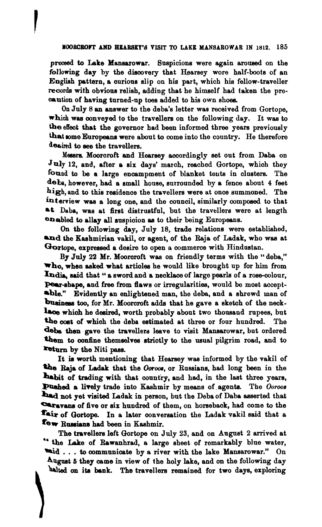### **YOORCBOIrT mD** HEABBEY'd **VISIT** TO **LAKE** MANSABOWAR IN 1812. **185**

proceed to Lake Mansarowar. Suspicions were again aroused on the following day by the discovery that Hearsey wore half-boots of an English pattern, a ourioue elip on hie part, which his fellow-traveller records with obvious relish, adding that he himself had taken the precaution of having turned-up toes added to his own shoes.

On July 8 an answer to the deba's letter wee received from Gortope, which was conveyed to the travellers on the following day. It was to **the** effeot **that** the governor had been informed three years previously that some Europeans were about to come into the country. He therefore desired to see the travellers.

**Mesen** Moororoft and Hearaey aoaordingly set out from Daba on **34y** 12, and, after a six days' march, reached Gortope, whioh they found to be a large encampment of blanket tents in clusters. The deba, however, had a small house, surrounded by a fence about 4 feet high, and to this residence the travellers were at once summoned. The interview **was** a long one, and the council, similarly compoeed to that **at** Daba, was at firet distrustful, but the travellers were at length enabled to allay all euapioion **ae** to their being Europeans.

On the following day, July **18,** trade relatione were eetabliehed, **md the** Kashmirian vakil, or agent, of the Raja of Ladak, who wae at Gortope, expressed a desire to open a commerce with Hindustan.

By **July 22** Mr. Moororoft wae on friendly terms with the "deba," **who,** when aeked what artiolea he would Like brought up for him from India, said that " a sword and a neoklace of large pearls of a rose-colour, Pear-shape, and free from flaws or irregularities, would be most accept**able."** Evidently an enlightened man, the deba, and a shrewd Inan of business too, for Mr. Moorcroft adds that he gave a sketch of the neck**lace** which he desired, worth probably about two thousand rupees, but **the coot** of whioh the deba eetimated at three or four hundred. The deba then gave the travellers leave to visit Mansarowar, but ordered them to confine themselves strictly to the usual pilgrim road, and to **return** by the Niti pass.

It is worth mentioning that Hearsey was informed by the vakil of the Raja of Ladak that the *Ooroos*, or Russians, had long been in the habit of trading with that country, and had, in the last three years, Pushed a lively trade into Kashmir by means of agents. The *Ooroos* had not yet visited Ladak in person, but the Deba of Daba asserted that **OUTAVANS** of five or six hundred of them, on horseback, had come to the fair of Gortope. In a later conversation the Ladak vakil said that a **few Rdua** had been in Keshmir.

The travellers left **Qortope** on July 23, and on August 2 arrived at \*\* the Lake of Rawanhrad, a large sheet of remarkably blue water, **Waid** . . . to communicate by a river with the lake Mansarowar." On August 5 they came in view of the holy lake, and on the following day halted on its bank. The travellers remained for two days, exploring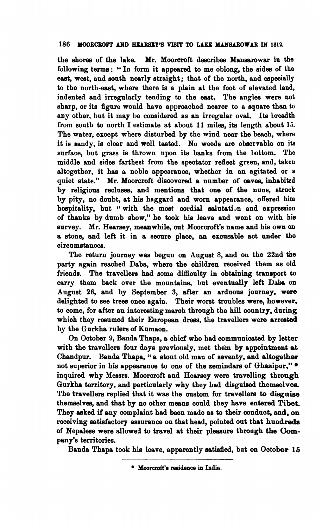#### **186 MOORCROFT AND HEARSEY'S VISIT TO LAKE MANSAROWAR IN 1812.**

the shores of the lake. Mr. Moororoft describes Mansarowar in the following terms: "In form it appeared to me oblong, the sides of the east, west, and south nearly straight; that of the north, and especially to the north-eest, where there is a plain at the foot of elevated land, indented and irregularly tending to the east. The angles were not sharp, or its figure would have approached nearer to a square than **to**  any other, but it may be considered as an irregular oval. Its breadth from soath to north I estimate at about 11 miles, ite length about 15. The water, except where disturbed by the wind near the beach, where it ie sandy, is olear and well **taated.** No weeds are obeervable on its surface, but grass is thrown upon its banks from the bottom. The middle and sides farthest from the spectator reflect green, and, taken altogether, it **ha8** a noble appearance, whether in an agitated or **a**  quiet state." Mr. Moorcroft discovered a number of caves, inhabited by religious reoluses, and mentions that one of the nuns, struck by pity, no doubt, at his haggard and worn appearance, offered him hospitality, but "with the most cordial salutation and expression of thank8 by dumb show," he took **hie** leave and went on with hie survey. Mr. Hearsey, meanwhile, cut Moorcroft's name and his own on a stone, and left it in a seonre plaoe, an excneable aot under the oiroumatances.

The return journey was begun on August 8, and on the 22nd the party again reached Daba, where the children received them as old friends. The travellera had some diffioulty in. obtaining transport to carry them back over the mountains, but eventually left Daba on August 26, and by September 3, after an arduous journey, were delighted to see trees once again. Their worst troubles were, however, to come, for after an interesting march through the hill country, during which they resumed their European dress, the travellers were arrested by the **Gurkha** rnlera of Kumeon.

On October 9, Bada Thapa, a chief who had oommunioated by letter with the travellers four days previously, met them by appointment at Chandpur. Banda Thapa, " a etont old man of eeventy, and altogether not superior in his appearance to one of the zemindars of Ghazipur,"  $*$ inquired why Messrs. Moorcroft and Hearsey were travelling through Gurkha territory, and particularly why they had disguised themselves. The travellers replied that it was the onstom for travellers to disguise themselves, and that by no other means could they have entered Tibet. They aeked if any oomplaint **had** been made as to their conduot, and, on receiving satisfactory assurance on that head, pointed out that hundreds of Nepalese were allowed to travel at their pleasure through the **Com**pany's territories.

Banda Thapa took his leave, apparently satisfied, but on October 15

<sup>\*</sup> Moorcroft's residence in India.